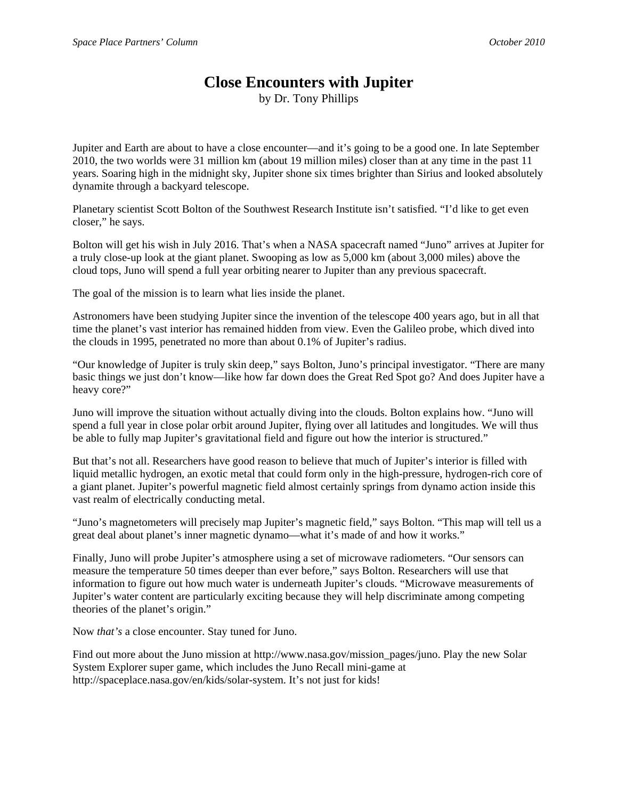## **Close Encounters with Jupiter**

by Dr. Tony Phillips

Jupiter and Earth are about to have a close encounter—and it's going to be a good one. In late September 2010, the two worlds were 31 million km (about 19 million miles) closer than at any time in the past 11 years. Soaring high in the midnight sky, Jupiter shone six times brighter than Sirius and looked absolutely dynamite through a backyard telescope.

Planetary scientist Scott Bolton of the Southwest Research Institute isn't satisfied. "I'd like to get even closer," he says.

Bolton will get his wish in July 2016. That's when a NASA spacecraft named "Juno" arrives at Jupiter for a truly close-up look at the giant planet. Swooping as low as 5,000 km (about 3,000 miles) above the cloud tops, Juno will spend a full year orbiting nearer to Jupiter than any previous spacecraft.

The goal of the mission is to learn what lies inside the planet.

Astronomers have been studying Jupiter since the invention of the telescope 400 years ago, but in all that time the planet's vast interior has remained hidden from view. Even the Galileo probe, which dived into the clouds in 1995, penetrated no more than about 0.1% of Jupiter's radius.

"Our knowledge of Jupiter is truly skin deep," says Bolton, Juno's principal investigator. "There are many basic things we just don't know—like how far down does the Great Red Spot go? And does Jupiter have a heavy core?"

Juno will improve the situation without actually diving into the clouds. Bolton explains how. "Juno will spend a full year in close polar orbit around Jupiter, flying over all latitudes and longitudes. We will thus be able to fully map Jupiter's gravitational field and figure out how the interior is structured."

But that's not all. Researchers have good reason to believe that much of Jupiter's interior is filled with liquid metallic hydrogen, an exotic metal that could form only in the high-pressure, hydrogen-rich core of a giant planet. Jupiter's powerful magnetic field almost certainly springs from dynamo action inside this vast realm of electrically conducting metal.

"Juno's magnetometers will precisely map Jupiter's magnetic field," says Bolton. "This map will tell us a great deal about planet's inner magnetic dynamo—what it's made of and how it works."

Finally, Juno will probe Jupiter's atmosphere using a set of microwave radiometers. "Our sensors can measure the temperature 50 times deeper than ever before," says Bolton. Researchers will use that information to figure out how much water is underneath Jupiter's clouds. "Microwave measurements of Jupiter's water content are particularly exciting because they will help discriminate among competing theories of the planet's origin."

Now *that's* a close encounter. Stay tuned for Juno.

Find out more about the Juno mission at http://www.nasa.gov/mission\_pages/juno. Play the new Solar System Explorer super game, which includes the Juno Recall mini-game at http://spaceplace.nasa.gov/en/kids/solar-system. It's not just for kids!